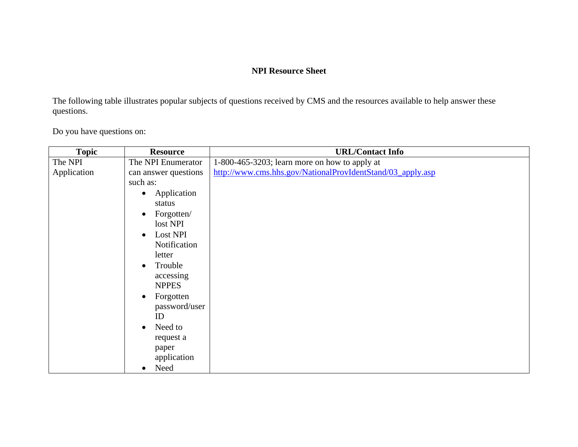## **NPI Resource Sheet**

The following table illustrates popular subjects of questions received by CMS and the resources available to help answer these questions.

Do you have questions on:

| <b>Topic</b> | <b>Resource</b>          | <b>URL/Contact Info</b>                                    |
|--------------|--------------------------|------------------------------------------------------------|
| The NPI      | The NPI Enumerator       | $1-800-465-3203$ ; learn more on how to apply at           |
| Application  | can answer questions     | http://www.cms.hhs.gov/NationalProvIdentStand/03_apply.asp |
|              | such as:                 |                                                            |
|              | Application<br>$\bullet$ |                                                            |
|              | status                   |                                                            |
|              | Forgotten/<br>$\bullet$  |                                                            |
|              | lost NPI                 |                                                            |
|              | Lost NPI<br>$\bullet$    |                                                            |
|              | Notification             |                                                            |
|              | letter                   |                                                            |
|              | Trouble<br>$\bullet$     |                                                            |
|              | accessing                |                                                            |
|              | <b>NPPES</b>             |                                                            |
|              | Forgotten<br>$\bullet$   |                                                            |
|              | password/user            |                                                            |
|              | ID                       |                                                            |
|              | Need to<br>$\bullet$     |                                                            |
|              | request a                |                                                            |
|              | paper                    |                                                            |
|              | application              |                                                            |
|              | Need<br>$\bullet$        |                                                            |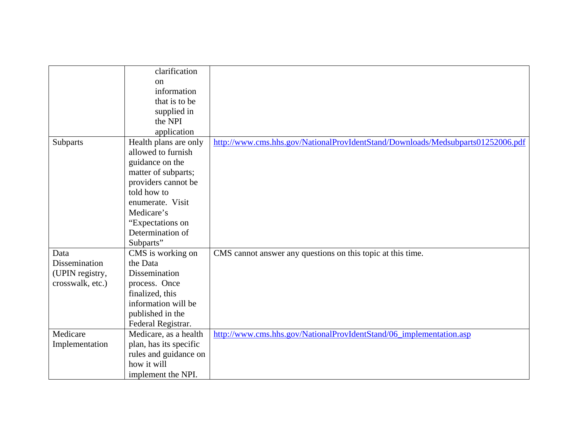|                  | clarification          |                                                                                 |
|------------------|------------------------|---------------------------------------------------------------------------------|
|                  | on                     |                                                                                 |
|                  | information            |                                                                                 |
|                  | that is to be          |                                                                                 |
|                  | supplied in            |                                                                                 |
|                  | the NPI                |                                                                                 |
|                  | application            |                                                                                 |
| Subparts         | Health plans are only  | http://www.cms.hhs.gov/NationalProvIdentStand/Downloads/Medsubparts01252006.pdf |
|                  | allowed to furnish     |                                                                                 |
|                  | guidance on the        |                                                                                 |
|                  | matter of subparts;    |                                                                                 |
|                  | providers cannot be    |                                                                                 |
|                  | told how to            |                                                                                 |
|                  | enumerate. Visit       |                                                                                 |
|                  | Medicare's             |                                                                                 |
|                  | "Expectations on       |                                                                                 |
|                  | Determination of       |                                                                                 |
|                  | Subparts"              |                                                                                 |
| Data             | CMS is working on      | CMS cannot answer any questions on this topic at this time.                     |
| Dissemination    | the Data               |                                                                                 |
| (UPIN registry,  | Dissemination          |                                                                                 |
| crosswalk, etc.) | process. Once          |                                                                                 |
|                  | finalized, this        |                                                                                 |
|                  | information will be    |                                                                                 |
|                  | published in the       |                                                                                 |
|                  | Federal Registrar.     |                                                                                 |
| Medicare         | Medicare, as a health  | http://www.cms.hhs.gov/NationalProvIdentStand/06_implementation.asp             |
| Implementation   | plan, has its specific |                                                                                 |
|                  | rules and guidance on  |                                                                                 |
|                  | how it will            |                                                                                 |
|                  | implement the NPI.     |                                                                                 |